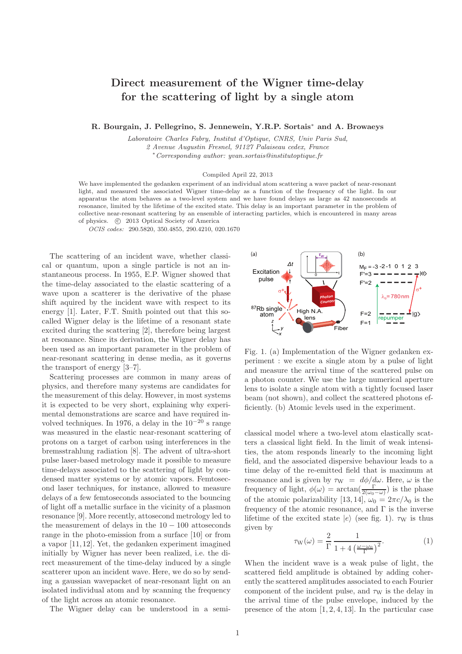## Direct measurement of the Wigner time-delay for the scattering of light by a single atom

R. Bourgain, J. Pellegrino, S. Jennewein, Y.R.P. Sortais<sup>∗</sup> and A. Browaeys

Laboratoire Charles Fabry, Institut d'Optique, CNRS, Univ Paris Sud, 2 Avenue Augustin Fresnel, 91127 Palaiseau cedex, France <sup>∗</sup>Corresponding author: yvan.sortais@institutoptique.fr

Compiled April 22, 2013

We have implemented the gedanken experiment of an individual atom scattering a wave packet of near-resonant light, and measured the associated Wigner time-delay as a function of the frequency of the light. In our apparatus the atom behaves as a two-level system and we have found delays as large as 42 nanoseconds at resonance, limited by the lifetime of the excited state. This delay is an important parameter in the problem of collective near-resonant scattering by an ensemble of interacting particles, which is encountered in many areas of physics. (c) 2013 Optical Society of America

OCIS codes: 290.5820, 350.4855, 290.4210, 020.1670

The scattering of an incident wave, whether classical or quantum, upon a single particle is not an instantaneous process. In 1955, E.P. Wigner showed that the time-delay associated to the elastic scattering of a wave upon a scatterer is the derivative of the phase shift aquired by the incident wave with respect to its energy [1]. Later, F.T. Smith pointed out that this socalled Wigner delay is the lifetime of a resonant state excited during the scattering [2], therefore being largest at resonance. Since its derivation, the Wigner delay has been used as an important parameter in the problem of near-resonant scattering in dense media, as it governs the transport of energy [3–7].

Scattering processes are common in many areas of physics, and therefore many systems are candidates for the measurement of this delay. However, in most systems it is expected to be very short, explaining why experimental demonstrations are scarce and have required involved techniques. In 1976, a delay in the  $10^{-20}$  s range was measured in the elastic near-resonant scattering of protons on a target of carbon using interferences in the bremsstrahlung radiation [8]. The advent of ultra-short pulse laser-based metrology made it possible to measure time-delays associated to the scattering of light by condensed matter systems or by atomic vapors. Femtosecond laser techniques, for instance, allowed to measure delays of a few femtoseconds associated to the bouncing of light off a metallic surface in the vicinity of a plasmon resonance [9]. More recently, attosecond metrology led to the measurement of delays in the  $10 - 100$  attoseconds range in the photo-emission from a surface [10] or from a vapor [11, 12]. Yet, the gedanken experiment imagined initially by Wigner has never been realized, i.e. the direct measurement of the time-delay induced by a single scatterer upon an incident wave. Here, we do so by sending a gaussian wavepacket of near-resonant light on an isolated individual atom and by scanning the frequency of the light across an atomic resonance.

The Wigner delay can be understood in a semi-



Fig. 1. (a) Implementation of the Wigner gedanken experiment : we excite a single atom by a pulse of light and measure the arrival time of the scattered pulse on a photon counter. We use the large numerical aperture lens to isolate a single atom with a tightly focused laser beam (not shown), and collect the scattered photons efficiently. (b) Atomic levels used in the experiment.

classical model where a two-level atom elastically scatters a classical light field. In the limit of weak intensities, the atom responds linearly to the incoming light field, and the associated dispersive behaviour leads to a time delay of the re-emitted field that is maximum at resonance and is given by  $\tau_W = d\phi/d\omega$ . Here,  $\omega$  is the frequency of light,  $\phi(\omega) = \arctan(\frac{\Gamma}{2(\omega_0 - \omega)})$  is the phase of the atomic polarizability [13, 14],  $\omega_0 = 2\pi c/\lambda_0$  is the frequency of the atomic resonance, and  $\Gamma$  is the inverse lifetime of the excited state  $|e\rangle$  (see fig. 1).  $\tau_{\rm W}$  is thus given by

$$
\tau_{\rm W}(\omega) = \frac{2}{\Gamma} \frac{1}{1 + 4\left(\frac{\omega - \omega_0}{\Gamma}\right)^2}.
$$
 (1)

When the incident wave is a weak pulse of light, the scattered field amplitude is obtained by adding coherently the scattered amplitudes associated to each Fourier component of the incident pulse, and  $\tau_W$  is the delay in the arrival time of the pulse envelope, induced by the presence of the atom  $[1, 2, 4, 13]$ . In the particular case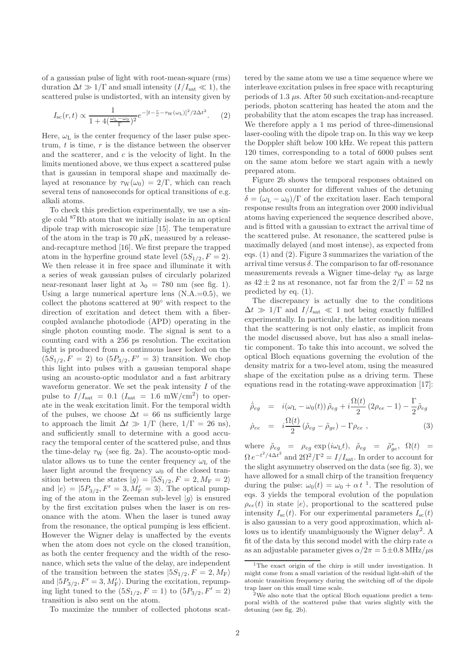of a gaussian pulse of light with root-mean-square (rms) duration  $\Delta t \gg 1/\Gamma$  and small intensity  $(I/I_{\text{sat}} \ll 1)$ , the scattered pulse is undistorted, with an intensity given by

$$
I_{\rm sc}(r,t) \propto \frac{1}{1 + 4\left(\frac{\omega_{\rm L} - \omega_0}{\Gamma}\right)^2} e^{-\left[t - \frac{r}{c} - \tau_{\rm W}(\omega_{\rm L})\right]^2 / 2\Delta t^2}.
$$
 (2)

Here,  $\omega_{\text{L}}$  is the center frequency of the laser pulse spectrum,  $t$  is time,  $r$  is the distance between the observer and the scatterer, and  $c$  is the velocity of light. In the limits mentioned above, we thus expect a scattered pulse that is gaussian in temporal shape and maximally delayed at resonance by  $\tau_W(\omega_0) = 2/\Gamma$ , which can reach several tens of nanoseconds for optical transitions of e.g. alkali atoms.

To check this prediction experimentally, we use a single cold <sup>87</sup>Rb atom that we initially isolate in an optical dipole trap with microscopic size [15]. The temperature of the atom in the trap is 70  $\mu$ K, measured by a releaseand-recapture method [16]. We first prepare the trapped atom in the hyperfine ground state level  $(5S_{1/2}, F = 2)$ . We then release it in free space and illuminate it with a series of weak gaussian pulses of circularly polarized near-resonant laser light at  $\lambda_0 = 780$  nm (see fig. 1). Using a large numerical aperture lens  $(N.A.=0.5)$ , we collect the photons scattered at 90<sup>∘</sup> with respect to the direction of excitation and detect them with a fibercoupled avalanche photodiode (APD) operating in the single photon counting mode. The signal is sent to a counting card with a 256 ps resolution. The excitation light is produced from a continuous laser locked on the  $(5S_{1/2}, F = 2)$  to  $(5P_{3/2}, F' = 3)$  transition. We chop this light into pulses with a gaussian temporal shape using an acousto-optic modulator and a fast arbitrary waveform generator. We set the peak intensity  $I$  of the pulse to  $I/I_{\text{sat}} = 0.1$   $(I_{\text{sat}} = 1.6 \text{ mW/cm}^2)$  to operate in the weak excitation limit. For the temporal width of the pulses, we choose  $\Delta t = 66$  ns sufficiently large to approach the limit  $\Delta t \gg 1/\Gamma$  (here,  $1/\Gamma = 26$  ns), and sufficiently small to determine with a good accuracy the temporal center of the scattered pulse, and thus the time-delay  $\tau_W$  (see fig. 2a). The acousto-optic modulator allows us to tune the center frequency  $\omega_{\text{L}}$  of the laser light around the frequency  $\omega_0$  of the closed transition between the states  $|g\rangle = |5S_{1/2}, F = 2, M_F = 2\rangle$ and  $|e\rangle = |5P_{3/2}, F' = 3, M'_F = 3$ . The optical pumping of the atom in the Zeeman sub-level  $|q\rangle$  is ensured by the first excitation pulses when the laser is on resonance with the atom. When the laser is tuned away from the resonance, the optical pumping is less efficient. However the Wigner delay is unaffected by the events when the atom does not cycle on the closed transition, as both the center frequency and the width of the resonance, which sets the value of the delay, are independent of the transition between the states  $|5S_{1/2}, F = 2, M_{\rm F}\rangle$ and  $|5P_{3/2}, F' = 3, M'_{F} \rangle$ . During the excitation, repumping light tuned to the  $(5S_{1/2}, F = 1)$  to  $(5P_{3/2}, F' = 2)$ transition is also sent on the atom.

To maximize the number of collected photons scat-

tered by the same atom we use a time sequence where we interleave excitation pulses in free space with recapturing periods of 1.3  $\mu$ s. After 50 such excitation-and-recapture periods, photon scattering has heated the atom and the probability that the atom escapes the trap has increased. We therefore apply a 1 ms period of three-dimensional laser-cooling with the dipole trap on. In this way we keep the Doppler shift below 100 kHz. We repeat this pattern 120 times, corresponding to a total of 6000 pulses sent on the same atom before we start again with a newly prepared atom.

Figure 2b shows the temporal responses obtained on the photon counter for different values of the detuning  $\delta = (\omega_L - \omega_0)/\Gamma$  of the excitation laser. Each temporal response results from an integration over 2000 individual atoms having experienced the sequence described above, and is fitted with a gaussian to extract the arrival time of the scattered pulse. At resonance, the scattered pulse is maximally delayed (and most intense), as expected from eqs. (1) and (2). Figure 3 summarizes the variation of the arrival time versus  $\delta$ . The comparison to far off-resonance measurements reveals a Wigner time-delay  $\tau_W$  as large as  $42 \pm 2$  ns at resonance, not far from the  $2/\Gamma = 52$  ns predicted by eq. (1).

The discrepancy is actually due to the conditions  $\Delta t \gg 1/\Gamma$  and  $I/I_{\text{sat}} \ll 1$  not being exactly fulfilled experimentally. In particular, the latter condition means that the scattering is not only elastic, as implicit from the model discussed above, but has also a small inelastic component. To take this into account, we solved the optical Bloch equations governing the evolution of the density matrix for a two-level atom, using the measured shape of the excitation pulse as a driving term. These equations read in the rotating-wave approximation [17]:

$$
\dot{\tilde{\rho}}_{eg} = i(\omega_{\text{L}} - \omega_{0}(t)) \tilde{\rho}_{eg} + i \frac{\Omega(t)}{2} (2\rho_{ee} - 1) - \frac{\Gamma}{2} \tilde{\rho}_{eg}
$$
\n
$$
\dot{\rho}_{ee} = i \frac{\Omega(t)}{2} (\tilde{\rho}_{eg} - \tilde{\rho}_{ge}) - \Gamma \rho_{ee} ,
$$
\n(3)

where  $\tilde{\rho}_{eg} = \rho_{eg} \exp(i\omega_L t), \ \tilde{\rho}_{eg} = \tilde{\rho}_{ge}^*, \ \Omega(t) =$  $\Omega e^{-t^2/4\Delta t^2}$  and  $2\Omega^2/\Gamma^2 = I/I_{\text{sat}}$ . In order to account for the slight asymmetry observed on the data (see fig. 3), we have allowed for a small chirp of the transition frequency during the pulse:  $\omega_0(t) = \omega_0 + \alpha t^{-1}$ . The resolution of eqs. 3 yields the temporal evolution of the population  $\rho_{ee}(t)$  in state  $|e\rangle$ , proportional to the scattered pulse intensity  $I_{\rm sc}(t)$ . For our experimental parameters  $I_{\rm sc}(t)$ is also gaussian to a very good approximation, which allows us to identify unambiguously the Wigner delay<sup>2</sup>. A fit of the data by this second model with the chirp rate  $\alpha$ as an adjustable parameter gives  $\alpha/2\pi = 5 \pm 0.8$  MHz/ $\mu$ s

<sup>&</sup>lt;sup>1</sup>The exact origin of the chirp is still under investigation. It might come from a small variation of the residual light-shift of the atomic transition frequency during the switching off of the dipole trap laser on this small time scale.

<sup>2</sup>We also note that the optical Bloch equations predict a temporal width of the scattered pulse that varies slightly with the detuning (see fig. 2b).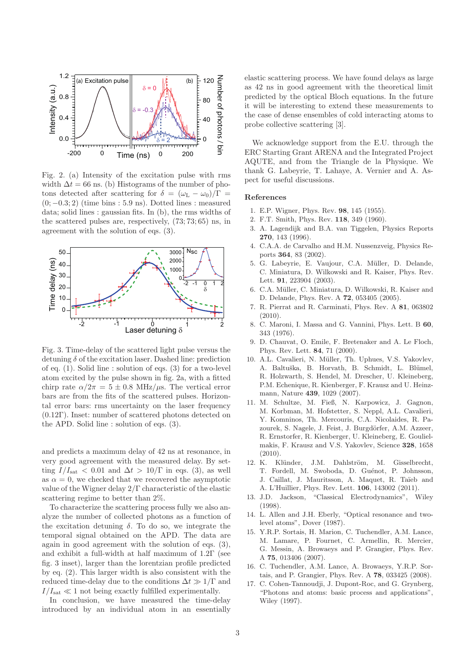

Fig. 2. (a) Intensity of the excitation pulse with rms width  $\Delta t = 66$  ns. (b) Histograms of the number of photons detected after scattering for  $\delta = (\omega_L - \omega_0)/\Gamma$  =  $(0, -0.3; 2)$  (time bins : 5.9 ns). Dotted lines : measured data; solid lines : gaussian fits. In (b), the rms widths of the scattered pulses are, respectively, (73; 73; 65) ns, in agreement with the solution of eqs. (3).



Fig. 3. Time-delay of the scattered light pulse versus the detuning  $\delta$  of the excitation laser. Dashed line: prediction of eq. (1). Solid line : solution of eqs. (3) for a two-level atom excited by the pulse shown in fig. 2a, with a fitted chirp rate  $\alpha/2\pi = 5 \pm 0.8$  MHz/ $\mu$ s. The vertical error bars are from the fits of the scattered pulses. Horizontal error bars: rms uncertainty on the laser frequency (0.12Γ). Inset: number of scattered photons detected on the APD. Solid line : solution of eqs. (3).

and predicts a maximum delay of 42 ns at resonance, in very good agreement with the measured delay. By setting  $I/I_{\text{sat}} < 0.01$  and  $\Delta t > 10/\Gamma$  in eqs. (3), as well as  $\alpha = 0$ , we checked that we recovered the asymptotic value of the Wigner delay 2/Γ characteristic of the elastic scattering regime to better than 2%.

To characterize the scattering process fully we also analyze the number of collected photons as a function of the excitation detuning  $\delta$ . To do so, we integrate the temporal signal obtained on the APD. The data are again in good agreement with the solution of eqs. (3), and exhibit a full-width at half maximum of 1.2Γ (see fig. 3 inset), larger than the lorentzian profile predicted by eq. (2). This larger width is also consistent with the reduced time-delay due to the conditions  $\Delta t \gg 1/\Gamma$  and  $I/I_{\text{sat}} \ll 1$  not being exactly fulfilled experimentally.

In conclusion, we have measured the time-delay introduced by an individual atom in an essentially

elastic scattering process. We have found delays as large as 42 ns in good agreement with the theoretical limit predicted by the optical Bloch equations. In the future it will be interesting to extend these measurements to the case of dense ensembles of cold interacting atoms to probe collective scattering [3].

We acknowledge support from the E.U. through the ERC Starting Grant ARENA and the Integrated Project AQUTE, and from the Triangle de la Physique. We thank G. Labeyrie, T. Lahaye, A. Vernier and A. Aspect for useful discussions.

## References

- 1. E.P. Wigner, Phys. Rev. 98, 145 (1955).
- 2. F.T. Smith, Phys. Rev. 118, 349 (1960).
- 3. A. Lagendijk and B.A. van Tiggelen, Physics Reports 270, 143 (1996).
- 4. C.A.A. de Carvalho and H.M. Nussenzveig, Physics Reports 364, 83 (2002).
- 5. G. Labeyrie, E. Vaujour, C.A. Müller, D. Delande, C. Miniatura, D. Wilkowski and R. Kaiser, Phys. Rev. Lett. **91**, 223904 (2003).
- 6. C.A. M¨uller, C. Miniatura, D. Wilkowski, R. Kaiser and D. Delande, Phys. Rev. A 72, 053405 (2005).
- 7. R. Pierrat and R. Carminati, Phys. Rev. A 81, 063802  $(2010).$
- 8. C. Maroni, I. Massa and G. Vannini, Phys. Lett. B 60, 343 (1976).
- 9. D. Chauvat, O. Emile, F. Bretenaker and A. Le Floch, Phys. Rev. Lett. 84, 71 (2000).
- 10. A.L. Cavalieri, N. Müller, Th. Uphues, V.S. Yakovlev, A. Baltuška, B. Horvath, B. Schmidt, L. Blümel, R. Holzwarth, S. Hendel, M. Drescher, U. Kleineberg, P.M. Echenique, R. Kienberger, F. Krausz and U. Heinzmann, Nature 439, 1029 (2007).
- 11. M. Schultze, M. Fieß, N. Karpowicz, J. Gagnon, M. Korbman, M. Hofstetter, S. Neppl, A.L. Cavalieri, Y. Komninos, Th. Mercouris, C.A. Nicolaides, R. Pazourek, S. Nagele, J. Feist, J. Burgdörfer, A.M. Azzeer, R. Ernstorfer, R. Kienberger, U. Kleineberg, E. Goulielmakis, F. Krausz and V.S. Yakovlev, Science 328, 1658 (2010).
- 12. K. Klünder, J.M. Dahlström, M. Gisselbrecht, T. Fordell, M. Swoboda, D. Guénot, P. Johnsson, J. Caillat, J. Mauritsson, A. Maquet, R. Taïeb and A. L'Huillier, Phys. Rev. Lett. 106, 143002 (2011).
- 13. J.D. Jackson, "Classical Electrodynamics", Wiley (1998).
- 14. L. Allen and J.H. Eberly, "Optical resonance and twolevel atoms", Dover (1987).
- 15. Y.R.P. Sortais, H. Marion, C. Tuchendler, A.M. Lance, M. Lamare, P. Fournet, C. Armellin, R. Mercier, G. Messin, A. Browaeys and P. Grangier, Phys. Rev. A 75, 013406 (2007).
- 16. C. Tuchendler, A.M. Lance, A. Browaeys, Y.R.P. Sortais, and P. Grangier, Phys. Rev. A 78, 033425 (2008).
- 17. C. Cohen-Tannoudji, J. Dupont-Roc, and G. Grynberg, "Photons and atoms: basic process and applications", Wiley (1997).